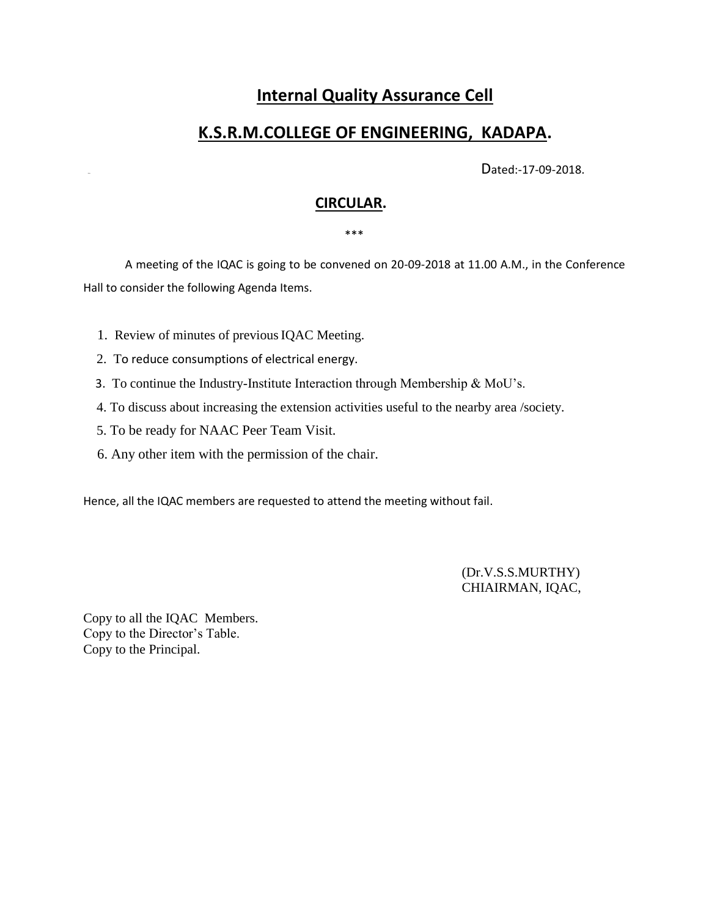# **Internal Quality Assurance Cell**

# **K.S.R.M.COLLEGE OF ENGINEERING, KADAPA.**

Dated:-17-09-2018.

## **CIRCULAR.**

#### \*\*\*

 A meeting of the IQAC is going to be convened on 20-09-2018 at 11.00 A.M., in the Conference Hall to consider the following Agenda Items.

- 1. Review of minutes of previousIQAC Meeting.
- 2. To reduce consumptions of electrical energy.
- 3. To continue the Industry-Institute Interaction through Membership & MoU's.
- 4. To discuss about increasing the extension activities useful to the nearby area /society.
- 5. To be ready for NAAC Peer Team Visit.
- 6. Any other item with the permission of the chair.

Hence, all the IQAC members are requested to attend the meeting without fail.

 (Dr.V.S.S.MURTHY) CHIAIRMAN, IQAC,

Copy to all the IQAC Members. Copy to the Director's Table. Copy to the Principal.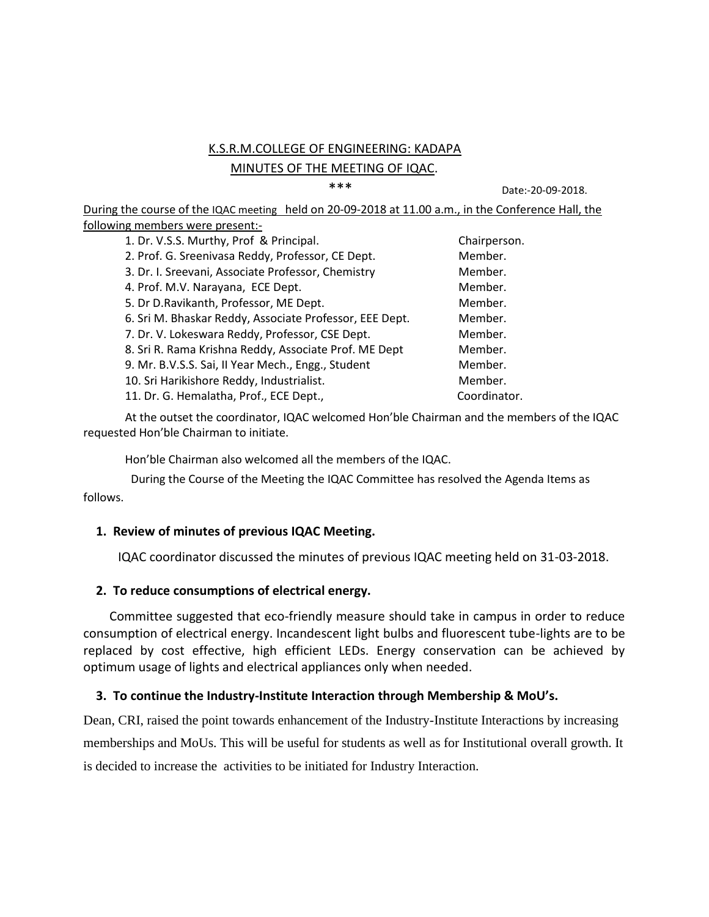## K.S.R.M.COLLEGE OF ENGINEERING: KADAPA MINUTES OF THE MEETING OF IQAC.

\*\*\* Date:-20-09-2018.

During the course of the IQAC meeting held on 20-09-2018 at 11.00 a.m., in the Conference Hall, the following members were present:-

| 1. Dr. V.S.S. Murthy, Prof & Principal.                 | Chairperson. |
|---------------------------------------------------------|--------------|
| 2. Prof. G. Sreenivasa Reddy, Professor, CE Dept.       | Member.      |
| 3. Dr. I. Sreevani, Associate Professor, Chemistry      | Member.      |
| 4. Prof. M.V. Narayana, ECE Dept.                       | Member.      |
| 5. Dr D.Ravikanth, Professor, ME Dept.                  | Member.      |
| 6. Sri M. Bhaskar Reddy, Associate Professor, EEE Dept. | Member.      |
| 7. Dr. V. Lokeswara Reddy, Professor, CSE Dept.         | Member.      |
| 8. Sri R. Rama Krishna Reddy, Associate Prof. ME Dept   | Member.      |
| 9. Mr. B.V.S.S. Sai, II Year Mech., Engg., Student      | Member.      |
| 10. Sri Harikishore Reddy, Industrialist.               | Member.      |
| 11. Dr. G. Hemalatha, Prof., ECE Dept.,                 | Coordinator. |
|                                                         |              |

At the outset the coordinator, IQAC welcomed Hon'ble Chairman and the members of the IQAC requested Hon'ble Chairman to initiate.

Hon'ble Chairman also welcomed all the members of the IQAC.

 During the Course of the Meeting the IQAC Committee has resolved the Agenda Items as follows.

#### **1. Review of minutes of previous IQAC Meeting.**

IQAC coordinator discussed the minutes of previous IQAC meeting held on 31-03-2018.

#### **2. To reduce consumptions of electrical energy.**

Committee suggested that eco-friendly measure should take in campus in order to reduce consumption of electrical energy. Incandescent light bulbs and fluorescent tube-lights are to be replaced by cost effective, high efficient LEDs. Energy conservation can be achieved by optimum usage of lights and electrical appliances only when needed.

#### **3. To continue the Industry-Institute Interaction through Membership & MoU's.**

Dean, CRI, raised the point towards enhancement of the Industry-Institute Interactions by increasing memberships and MoUs. This will be useful for students as well as for Institutional overall growth. It is decided to increase the activities to be initiated for Industry Interaction.